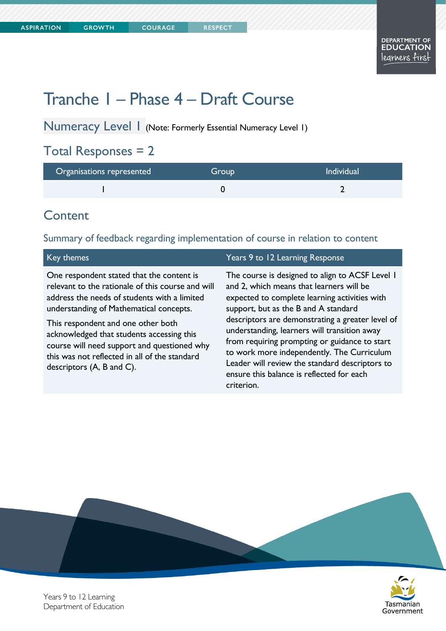Tasmanian Government

# Tranche 1 – Phase 4 – Draft Course

**COURAGE** 

Numeracy Level 1 (Note: Formerly Essential Numeracy Level 1)

## Total Responses = 2

| Organisations represented | Group | <b>Individual</b> |
|---------------------------|-------|-------------------|
|                           |       |                   |

## **Content**

### Summary of feedback regarding implementation of course in relation to content

| Key themes                                                                                                                                                                                                                                                                                                                                                                                                    | Years 9 to 12 Learning Response                                                                                                                                                                                                                                                                                                                                                                                                                                                                      |
|---------------------------------------------------------------------------------------------------------------------------------------------------------------------------------------------------------------------------------------------------------------------------------------------------------------------------------------------------------------------------------------------------------------|------------------------------------------------------------------------------------------------------------------------------------------------------------------------------------------------------------------------------------------------------------------------------------------------------------------------------------------------------------------------------------------------------------------------------------------------------------------------------------------------------|
| One respondent stated that the content is<br>relevant to the rationale of this course and will<br>address the needs of students with a limited<br>understanding of Mathematical concepts.<br>This respondent and one other both<br>acknowledged that students accessing this<br>course will need support and questioned why<br>this was not reflected in all of the standard<br>descriptors $(A, B, and C)$ . | The course is designed to align to ACSF Level 1<br>and 2, which means that learners will be<br>expected to complete learning activities with<br>support, but as the B and A standard<br>descriptors are demonstrating a greater level of<br>understanding, learners will transition away<br>from requiring prompting or guidance to start<br>to work more independently. The Curriculum<br>Leader will review the standard descriptors to<br>ensure this balance is reflected for each<br>criterion. |
|                                                                                                                                                                                                                                                                                                                                                                                                               |                                                                                                                                                                                                                                                                                                                                                                                                                                                                                                      |



Years 9 to 12 Learning Department of Education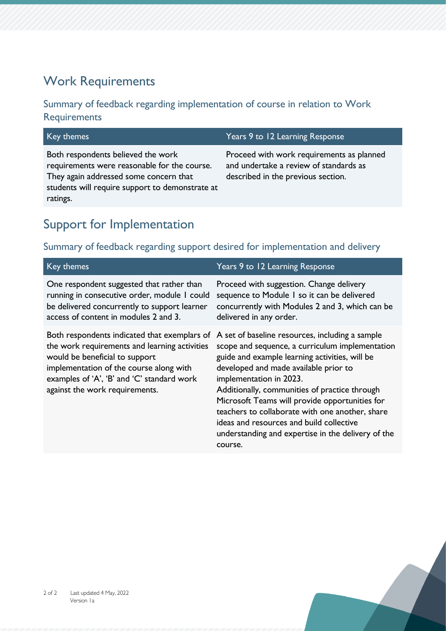## Work Requirements

### Summary of feedback regarding implementation of course in relation to Work **Requirements**

Both respondents believed the work requirements were reasonable for the course. They again addressed some concern that students will require support to demonstrate at ratings.

### Key themes Years 9 to 12 Learning Response

Proceed with work requirements as planned and undertake a review of standards as described in the previous section.

## Support for Implementation

### Summary of feedback regarding support desired for implementation and delivery

| Key themes                                                                                                                                                                                                                                                 | Years 9 to 12 Learning Response                                                                                                                                                                                                                                                                                                                                                                                                                                                             |
|------------------------------------------------------------------------------------------------------------------------------------------------------------------------------------------------------------------------------------------------------------|---------------------------------------------------------------------------------------------------------------------------------------------------------------------------------------------------------------------------------------------------------------------------------------------------------------------------------------------------------------------------------------------------------------------------------------------------------------------------------------------|
| One respondent suggested that rather than<br>running in consecutive order, module I could<br>be delivered concurrently to support learner<br>access of content in modules 2 and 3.                                                                         | Proceed with suggestion. Change delivery<br>sequence to Module I so it can be delivered<br>concurrently with Modules 2 and 3, which can be<br>delivered in any order.                                                                                                                                                                                                                                                                                                                       |
| Both respondents indicated that exemplars of<br>the work requirements and learning activities<br>would be beneficial to support<br>implementation of the course along with<br>examples of 'A', 'B' and 'C' standard work<br>against the work requirements. | A set of baseline resources, including a sample<br>scope and sequence, a curriculum implementation<br>guide and example learning activities, will be<br>developed and made available prior to<br>implementation in 2023.<br>Additionally, communities of practice through<br>Microsoft Teams will provide opportunities for<br>teachers to collaborate with one another, share<br>ideas and resources and build collective<br>understanding and expertise in the delivery of the<br>course. |